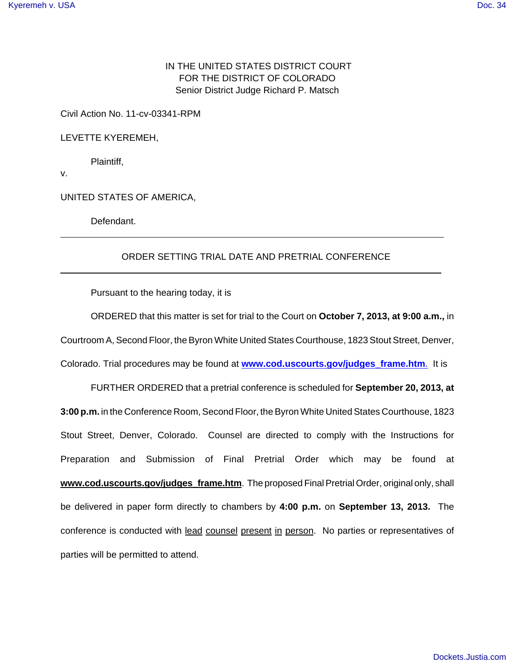## IN THE UNITED STATES DISTRICT COURT FOR THE DISTRICT OF COLORADO Senior District Judge Richard P. Matsch

Civil Action No. 11-cv-03341-RPM

LEVETTE KYEREMEH,

Plaintiff,

v.

 $\overline{a}$ 

 $\overline{a}$ 

UNITED STATES OF AMERICA,

Defendant.

## ORDER SETTING TRIAL DATE AND PRETRIAL CONFERENCE

Pursuant to the hearing today, it is

ORDERED that this matter is set for trial to the Court on **October 7, 2013, at 9:00 a.m.,** in Courtroom A, Second Floor, the Byron White United States Courthouse, 1823 Stout Street, Denver, Colorado. Trial procedures may be found at **www.cod.uscourts.gov/judges\_frame.htm**. It is

FURTHER ORDERED that a pretrial conference is scheduled for **September 20, 2013, at 3:00 p.m.** in the Conference Room, Second Floor, the Byron White United States Courthouse, 1823 Stout Street, Denver, Colorado. Counsel are directed to comply with the Instructions for Preparation and Submission of Final Pretrial Order which may be found at **www.cod.uscourts.gov/judges\_frame.htm**. The proposed Final Pretrial Order, original only, shall be delivered in paper form directly to chambers by **4:00 p.m.** on **September 13, 2013.** The conference is conducted with lead counsel present in person. No parties or representatives of parties will be permitted to attend.